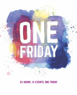

## 24 HOURS, 14 EVENTS, ONE FRIDAY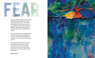

Jesus went with his disciples to the olive grove called Gethsemane, and he said, "Sit here while I go over there to pray." He took Peter and Zebedee's two sons, James and John, and he became anguished and distressed. He told them, "My soul is crushed with grief to the point of death. Stay here and keep watch with me."

He went on a little farther and bowed with his face to the ground, praying, "My Father! If it is possible, let this cup of suffering be taken away from me. Yet I want your will to be done, not mine."

Then he returned to the disciples and found them asleep. He said to Peter, "Couldn't you watch with me even one hour? Keep watch and pray, so that you will not give in to temptation. For the spirit is willing, but the body is weak!"



**Matthew 26:36-41**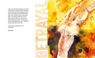Judas, one of the twelve disciples, arrived with a crowd of men armed with swords and clubs. They had been sent by the leading priests, the teachers of religious law, and the elders. The traitor, Judas, had given them a prearranged signal: "You will know which one to arrest when I greet him with a kiss. Then you can take him away under guard." As soon as they arrived, Judas walked up to Jesus. "Rabbi!" he exclaimed, and gave him the kiss.

Then the others grabbed Jesus and arrested him.

**Mark 14:43-46**

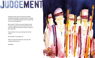

At daybreak all the elders of the people assembled, including the leading priests and the teachers of religious law. Jesus was led before this high council, and they said, "Tell us, are you the Messiah?"

But he replied, "If I tell you, you won't believe me. And if I ask you a question, you won't answer. But from now on the Son of Man will be seated in the place of power at God's right hand."

They all shouted, "So, are you claiming to be the Son of God?"

And he replied, "You say that I am."

"Why do we need other witnesses?" they said. "We ourselves heard him say it."

**Luke 22:66-71**

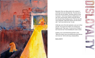

Meanwhile, Peter was sitting outside in the courtyard. A servant girl came over and said to him, "You were one of those with Jesus the Galilean." But Peter denied it in front of everyone. "I don't know what you're talking about," he said. Later, out by the gate, another servant girl noticed him and said to those standing around, "This man was with Jesus of Nazareth." Again Peter denied it, this time with an oath. "I don't even know the man," he said.

A little later some of the other bystanders came over to Peter and said, "You must be one of them; we can tell by your Galilean accent." Peter swore, "A curse on me if I'm lying—I don't know the man!" And immediately the rooster crowed.

Suddenly, Jesus' words flashed through Peter's mind: "Before the rooster crows, you will deny three times that you even know me." And he went away, weeping bitterly.

**Matthew 26:69-75**

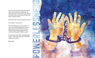Very early in the morning the leading priests, the elders, and the teachers of religious law—the entire high council—met to discuss their next step. They bound Jesus, led him away, and took him to Pilate, the Roman governor.

Pilate asked Jesus, "Are you the king of the Jews?"

Jesus replied, "You have said it."

Then the leading priests kept accusing him of many crimes, and Pilate asked him, "Aren't you going to answer them? What about all these charges they are bringing against you?" But Jesus said nothing, much to Pilate's surprise.

So to pacify the crowd, Pilate released Barabbas to them … then turned Jesus over to the Roman soldiers to be crucified.

**Mark 15:1-5,15**

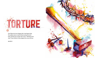

Then Pilate had Jesus flogged with a lead-tipped whip. The soldiers wove a crown of thorns and put it on his head, and they put a purple robe on him. "Hail! King of the Jews!" they mocked, as they slapped him across the face.

**John 19:1-3**

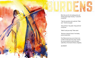When they saw him, the leading priests and Temple guards began shouting, "Crucify him! Crucify him!"

"Take him yourselves and crucify him," Pilate said. "I find him not guilty."

"Away with him," they yelled. "Away with him! Crucify him!"

"What? Crucify your king?" Pilate asked.

"We have no king but Caesar," the leading priests shouted back.

Then Pilate turned Jesus over to them to be crucified. So they took Jesus away. Carrying the cross by himself, he went to the place called Place of the Skull (in Hebrew, Golgotha).

**John 19:6,15-17**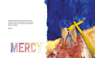A passerby named Simon, who was from Cyrene, was coming in from the countryside just then, and the soldiers forced him to carry Jesus' cross. (Simon was the father of Alexander and Rufus.)

**Mark 15:21**



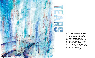

A large crowd trailed behind, including many grief-stricken women. But Jesus turned and said to them, "Daughters of Jerusalem, don't weep for me, but weep for yourselves and for your children. For the days are coming when they will say, 'Fortunate indeed are the women who are childless, the wombs that have not borne a child and the breasts that have never nursed.' People will beg the mountains, 'Fall on us,' and plead with the hills, 'Bury us.' For if these things are done when the tree is green, what will happen when it is dry?"

**Luke 23:27-31**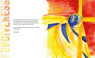

Two others, both criminals, were led out to be executed with Jesus. When they came to a place called The Skull, they nailed him to the cross. And the criminals were also crucified—one on his right and one on his left.

Jesus said, "Father, forgive them, for they don't know what they are doing."

**Luke 23:32-34**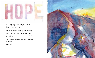

One of the criminals hanging beside him scoffed, "So you're the Messiah, are you? Prove it by saving yourself and us, too, while you're at it!"

But the other criminal protested, "Don't you fear God even when you have been sentenced to die? We deserve to die for our crimes, but this man hasn't done anything wrong." Then he said, "Jesus, remember me when you come into your Kingdom."

And Jesus replied, "I assure you, today you will be with me in paradise."

**Luke 23:39-43**

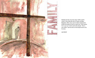

Standing near the cross were Jesus' mother, and his mother's sister, Mary (the wife of Clopas), and Mary Magdalene. When Jesus saw his mother standing there beside the disciple he loved, he said to her, "Dear woman, here is your son." And he said to this disciple, "Here is your mother." And from then on this disciple took her into his home.

**John 19:25-27**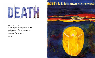

By this time it was about noon, and darkness fell across the whole land until three o'clock. The light from the sun was gone. And suddenly, the curtain in the sanctuary of the Temple was torn down the middle. Then Jesus shouted, "Father, I entrust my spirit into your hands!" And with those words he breathed his last.

**Luke 23:44-46**

## **TEATH TEATH IN THE ANNUAL PROPERTY**

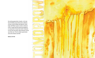As evening approached, Joseph, a rich man from Arimathea who had become a follower of Jesus, went to Pilate and asked for Jesus' body. And Pilate issued an order to release it to him. Joseph took the body and wrapped it in a long sheet of clean linen cloth. He placed it in his own new tomb, which had been carved out of the rock. Then he rolled a great stone across the entrance and left.

**Matthew 27:57-60**

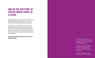## AND SO THE SAD STORY OF EASTER FRIDAY COMES TO A CLOSE.

You might wonder why we still mark the occasion all these years later. But the Easter story doesn't end on Good Friday, and it's what happens next that is all important.

Two days later, Jesus' followers discovered that Jesus had not stayed in that tomb. They met him, alive and in the flesh. Jesus overcame death, and by following him, he invites us to do the same: "I am the resurrection and the life. Those who believe in me will have life even if they die." (John 11:25 NCV)

**To find out what Easter means for you, visit a church this Easter Sunday.**

Paintings by Jenny Hawke, whose artwork is all about helping people to see the beauty and colour of faith in the world around them. **www.creativegrace.co.uk**

Unless otherwise indicated, all Scripture quotations are taken from the New Living Translation © 2013 by Tyndale House Foundation. Used by permission of Tyndale House Publishers.

Additional Scripture taken from the New Century Version © 2005, Thomas Nelson